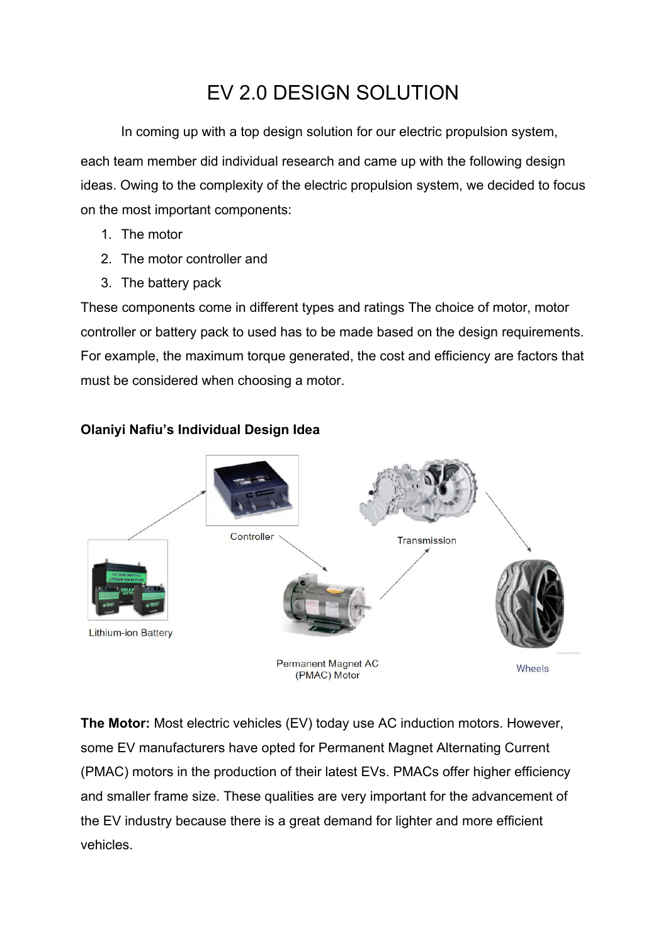# EV 2.0 DESIGN SOLUTION

In coming up with a top design solution for our electric propulsion system, each team member did individual research and came up with the following design ideas. Owing to the complexity of the electric propulsion system, we decided to focus on the most important components:

- 1. The motor
- 2. The motor controller and
- 3. The battery pack

These components come in different types and ratings The choice of motor, motor controller or battery pack to used has to be made based on the design requirements. For example, the maximum torque generated, the cost and efficiency are factors that must be considered when choosing a motor.



#### **Olaniyi Nafiu's Individual Design Idea**

**The Motor:** Most electric vehicles (EV) today use AC induction motors. However, some EV manufacturers have opted for Permanent Magnet Alternating Current (PMAC) motors in the production of their latest EVs. PMACs offer higher efficiency and smaller frame size. These qualities are very important for the advancement of the EV industry because there is a great demand for lighter and more efficient vehicles.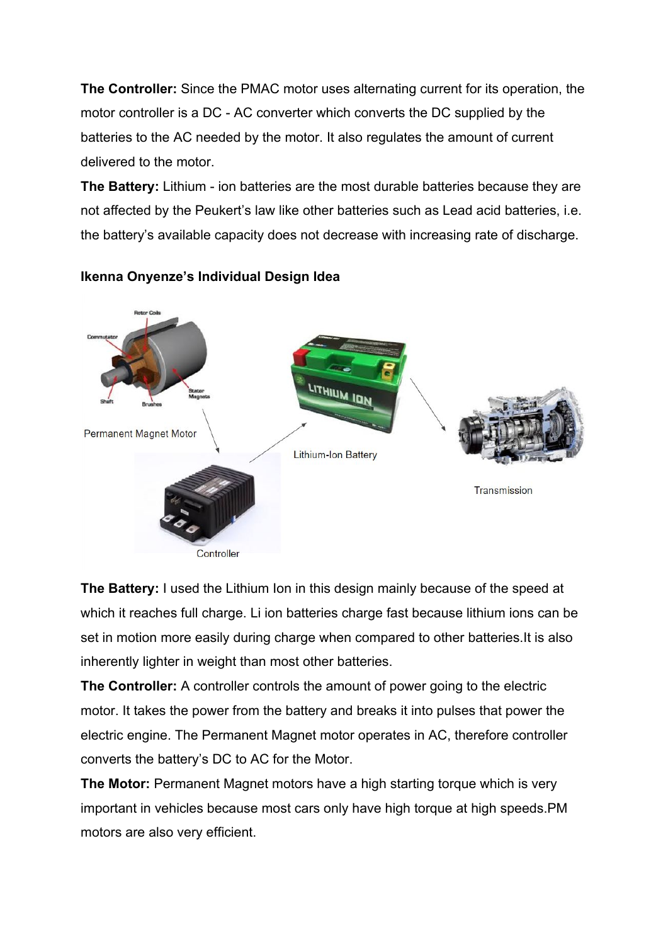**The Controller:** Since the PMAC motor uses alternating current for its operation, the motor controller is a DC - AC converter which converts the DC supplied by the batteries to the AC needed by the motor. It also regulates the amount of current delivered to the motor.

**The Battery:** Lithium - ion batteries are the most durable batteries because they are not affected by the Peukert's law like other batteries such as Lead acid batteries, i.e. the battery's available capacity does not decrease with increasing rate of discharge.



### **Ikenna Onyenze's Individual Design Idea**

**The Battery:** I used the Lithium Ion in this design mainly because of the speed at which it reaches full charge. Li ion batteries charge fast because lithium ions can be set in motion more easily during charge when compared to other batteries.It is also inherently lighter in weight than most other batteries.

**The Controller:** A controller controls the amount of power going to the electric motor. It takes the power from the battery and breaks it into pulses that power the electric engine. The Permanent Magnet motor operates in AC, therefore controller converts the battery's DC to AC for the Motor.

**The Motor:** Permanent Magnet motors have a high starting torque which is very important in vehicles because most cars only have high torque at high speeds.PM motors are also very efficient.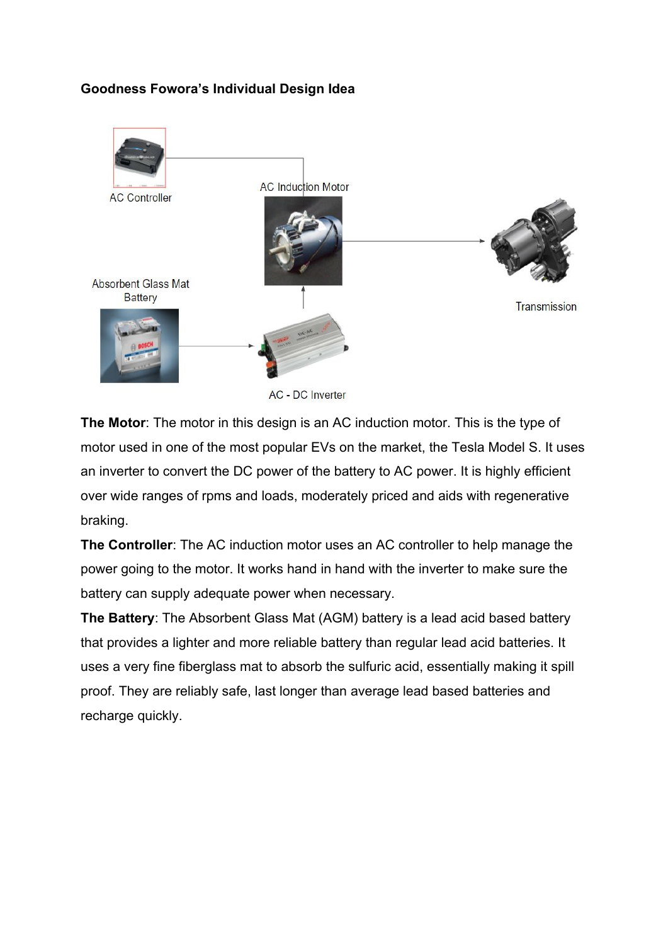#### **Goodness Fowora's Individual Design Idea**



**The Motor**: The motor in this design is an AC induction motor. This is the type of motor used in one of the most popular EVs on the market, the Tesla Model S. It uses an inverter to convert the DC power of the battery to AC power. It is highly efficient over wide ranges of rpms and loads, moderately priced and aids with regenerative braking.

**The Controller**: The AC induction motor uses an AC controller to help manage the power going to the motor. It works hand in hand with the inverter to make sure the battery can supply adequate power when necessary.

**The Battery**: The Absorbent Glass Mat (AGM) battery is a lead acid based battery that provides a lighter and more reliable battery than regular lead acid batteries. It uses a very fine fiberglass mat to absorb the sulfuric acid, essentially making it spill proof. They are reliably safe, last longer than average lead based batteries and recharge quickly.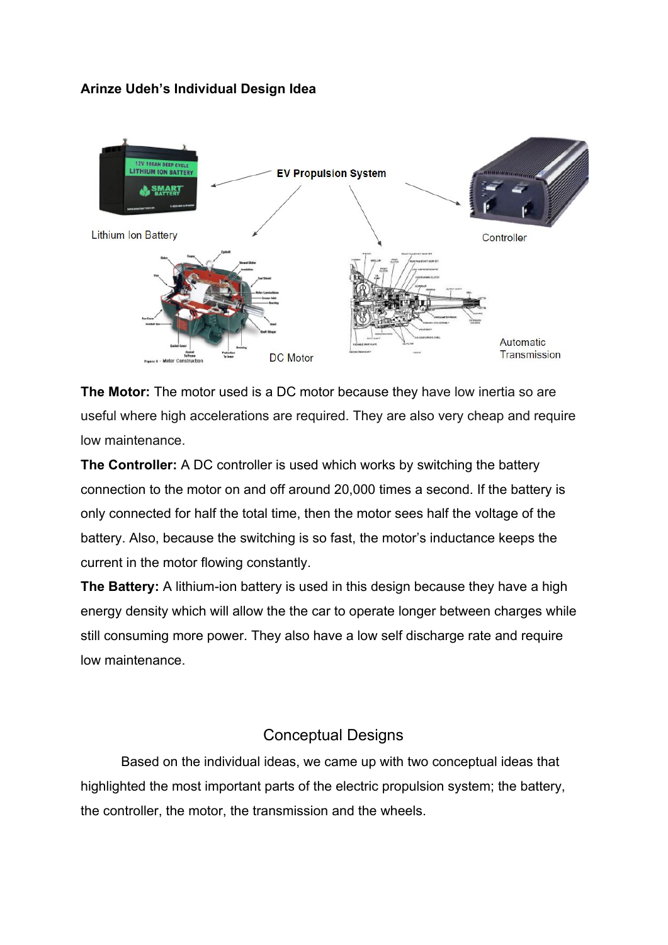#### **Arinze Udeh's Individual Design Idea**



**The Motor:** The motor used is a DC motor because they have low inertia so are useful where high accelerations are required. They are also very cheap and require low maintenance.

**The Controller:** A DC controller is used which works by switching the battery connection to the motor on and off around 20,000 times a second. If the battery is only connected for half the total time, then the motor sees half the voltage of the battery. Also, because the switching is so fast, the motor's inductance keeps the current in the motor flowing constantly.

**The Battery:** A lithium-ion battery is used in this design because they have a high energy density which will allow the the car to operate longer between charges while still consuming more power. They also have a low self discharge rate and require low maintenance.

### Conceptual Designs

Based on the individual ideas, we came up with two conceptual ideas that highlighted the most important parts of the electric propulsion system; the battery, the controller, the motor, the transmission and the wheels.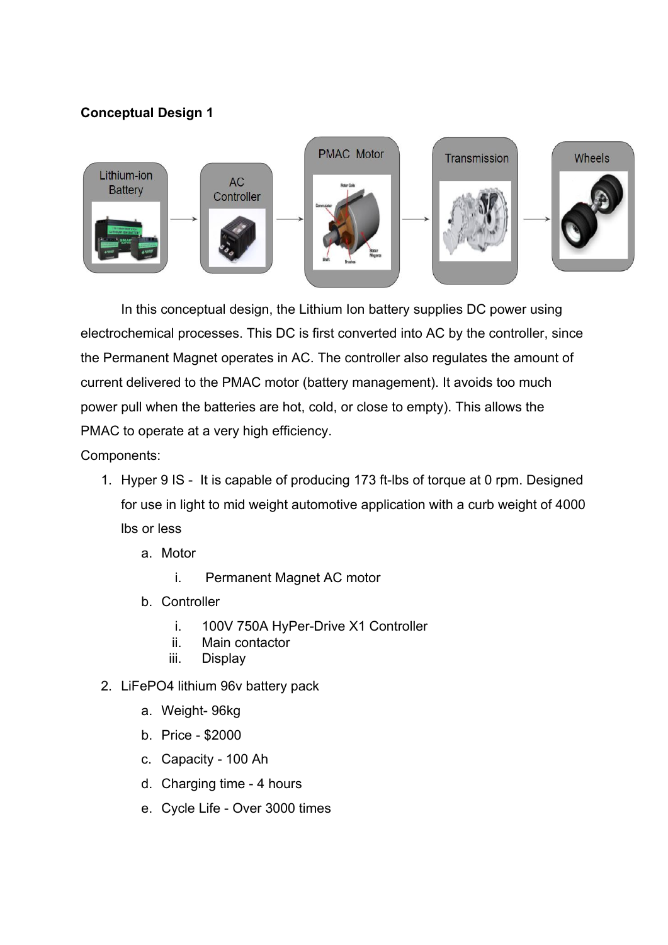### **Conceptual Design 1**



In this conceptual design, the Lithium Ion battery supplies DC power using electrochemical processes. This DC is first converted into AC by the controller, since the Permanent Magnet operates in AC. The controller also regulates the amount of current delivered to the PMAC motor (battery management). It avoids too much power pull when the batteries are hot, cold, or close to empty). This allows the PMAC to operate at a very high efficiency.

Components:

- 1. Hyper 9 IS It is capable of producing 173 ft-lbs of torque at 0 rpm. Designed for use in light to mid weight automotive application with a curb weight of 4000 lbs or less
	- a. Motor
		- i. Permanent Magnet AC motor
	- b. Controller
		- i. 100V 750A HyPer-Drive X1 Controller
		- ii. Main contactor
		- iii. Display
- 2. LiFePO4 lithium 96v battery pack
	- a. Weight- 96kg
	- b. Price \$2000
	- c. Capacity 100 Ah
	- d. Charging time 4 hours
	- e. Cycle Life Over 3000 times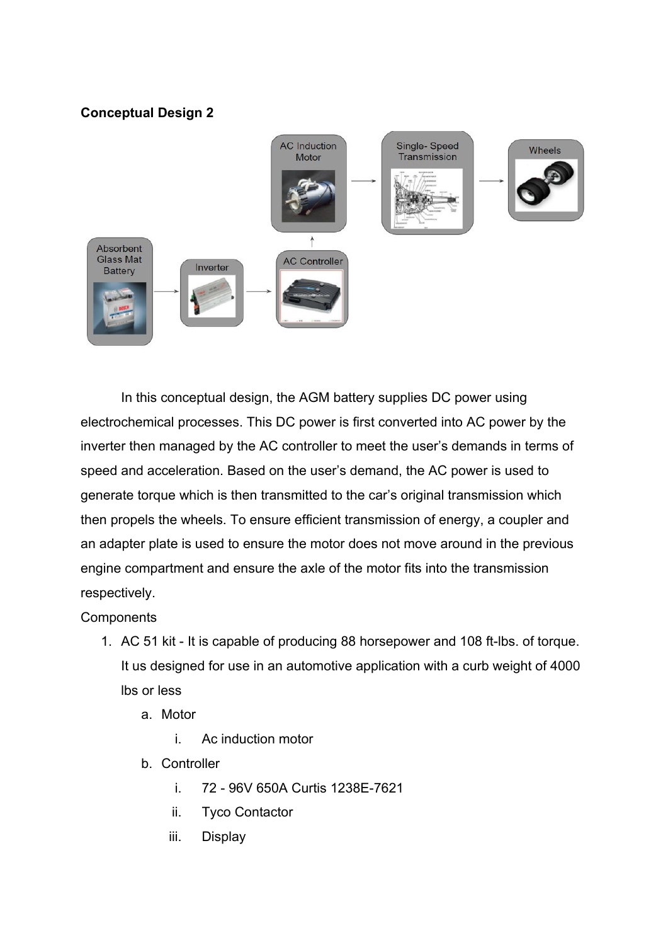#### **Conceptual Design 2**



In this conceptual design, the AGM battery supplies DC power using electrochemical processes. This DC power is first converted into AC power by the inverter then managed by the AC controller to meet the user's demands in terms of speed and acceleration. Based on the user's demand, the AC power is used to generate torque which is then transmitted to the car's original transmission which then propels the wheels. To ensure efficient transmission of energy, a coupler and an adapter plate is used to ensure the motor does not move around in the previous engine compartment and ensure the axle of the motor fits into the transmission respectively.

**Components** 

- 1. AC 51 kit It is capable of producing 88 horsepower and 108 ft-lbs. of torque. It us designed for use in an automotive application with a curb weight of 4000 lbs or less
	- a. Motor
		- i. Ac induction motor
	- b. Controller
		- i. 72 96V 650A Curtis 1238E-7621
		- ii. Tyco Contactor
		- iii. Display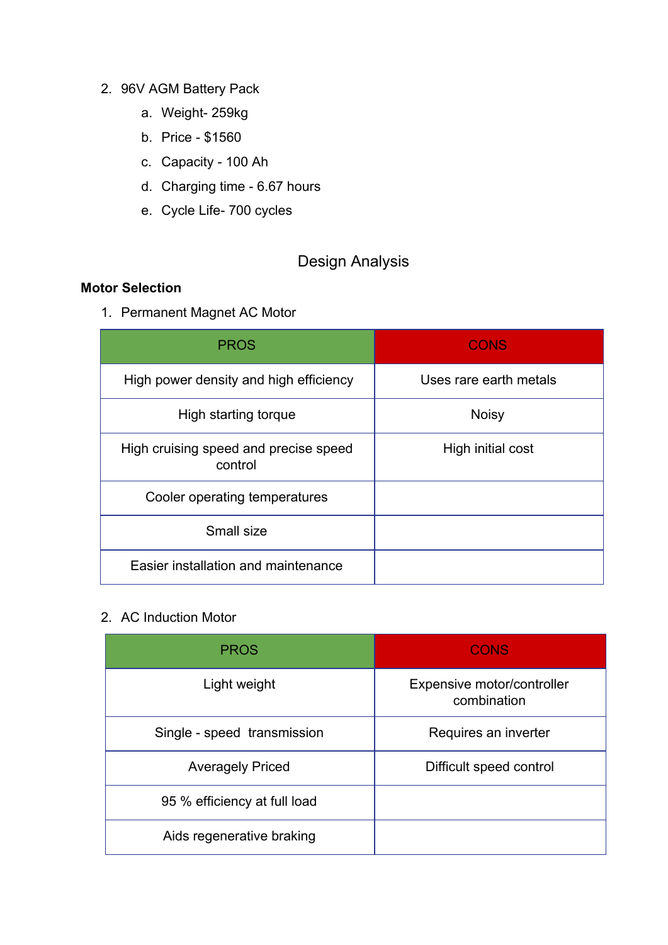#### 2. 96V AGM Battery Pack

- a. Weight- 259kg
- b. Price \$1560
- c. Capacity 100 Ah
- d. Charging time 6.67 hours
- e. Cycle Life- 700 cycles

## Design Analysis

#### **Motor Selection**

1. Permanent Magnet AC Motor

| <b>PROS</b>                                      | <b>CONS</b>            |
|--------------------------------------------------|------------------------|
| High power density and high efficiency           | Uses rare earth metals |
| High starting torque                             | <b>Noisy</b>           |
| High cruising speed and precise speed<br>control | High initial cost      |
| Cooler operating temperatures                    |                        |
| Small size                                       |                        |
| Easier installation and maintenance              |                        |

### 2. AC Induction Motor

| <b>PROS</b>                  | <b>CONS</b>                               |  |  |  |
|------------------------------|-------------------------------------------|--|--|--|
| Light weight                 | Expensive motor/controller<br>combination |  |  |  |
| Single - speed transmission  | Requires an inverter                      |  |  |  |
| <b>Averagely Priced</b>      | Difficult speed control                   |  |  |  |
| 95 % efficiency at full load |                                           |  |  |  |
| Aids regenerative braking    |                                           |  |  |  |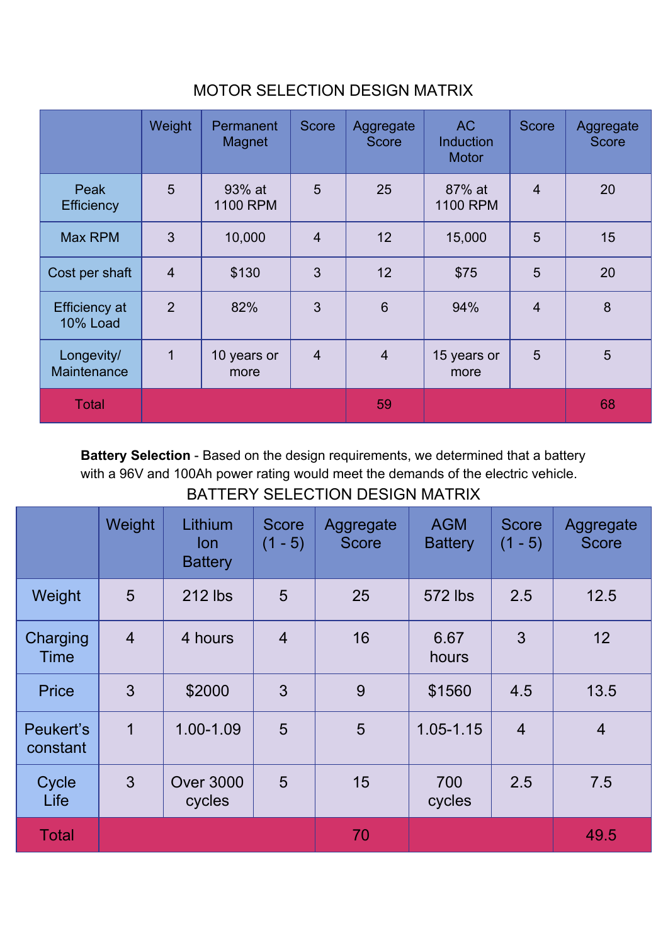|                                         | Weight         | Permanent<br>Magnet | <b>Score</b>   | Aggregate<br><b>Score</b> | <b>AC</b><br><b>Induction</b><br><b>Motor</b> | <b>Score</b>   | Aggregate<br><b>Score</b> |
|-----------------------------------------|----------------|---------------------|----------------|---------------------------|-----------------------------------------------|----------------|---------------------------|
| Peak<br><b>Efficiency</b>               | 5              | 93% at<br>1100 RPM  | 5              | 25                        | 87% at<br>1100 RPM                            | $\overline{4}$ | 20                        |
| Max RPM                                 | 3              | 10,000              | $\overline{4}$ | 12                        | 15,000                                        | 5              | 15                        |
| Cost per shaft                          | $\overline{4}$ | \$130               | 3              | 12                        | \$75                                          | 5              | 20                        |
| <b>Efficiency at</b><br><b>10% Load</b> | $\overline{2}$ | 82%                 | 3              | $6\phantom{1}$            | 94%                                           | $\overline{4}$ | 8                         |
| Longevity/<br>Maintenance               | 1              | 10 years or<br>more | $\overline{4}$ | $\overline{4}$            | 15 years or<br>more                           | 5              | $5\phantom{.}$            |
| <b>Total</b>                            |                |                     |                | 59                        |                                               |                | 68                        |

# MOTOR SELECTION DESIGN MATRIX

**Battery Selection** - Based on the design requirements, we determined that a battery with a 96V and 100Ah power rating would meet the demands of the electric vehicle. BATTERY SELECTION DESIGN MATRIX

|                       | Weight         | Lithium<br><b>lon</b><br><b>Battery</b> | <b>Score</b><br>$(1 - 5)$ | Aggregate<br><b>Score</b> | <b>AGM</b><br><b>Battery</b> | <b>Score</b><br>$(1 - 5)$ | Aggregate<br><b>Score</b> |
|-----------------------|----------------|-----------------------------------------|---------------------------|---------------------------|------------------------------|---------------------------|---------------------------|
| Weight                | 5              | 212 lbs                                 | 5                         | 25                        | 572 lbs                      | 2.5                       | 12.5                      |
| Charging<br>Time      | $\overline{4}$ | 4 hours                                 | $\overline{4}$            | 16                        | 6.67<br>hours                | 3                         | 12                        |
| <b>Price</b>          | 3              | \$2000                                  | 3                         | 9                         | \$1560                       | 4.5                       | 13.5                      |
| Peukert's<br>constant | 1              | 1.00-1.09                               | 5                         | 5                         | $1.05 - 1.15$                | $\overline{4}$            | $\overline{4}$            |
| Cycle<br>Life         | 3              | <b>Over 3000</b><br>cycles              | 5                         | 15                        | 700<br>cycles                | 2.5                       | 7.5                       |
| <b>Total</b>          |                |                                         |                           | 70                        |                              |                           | 49.5                      |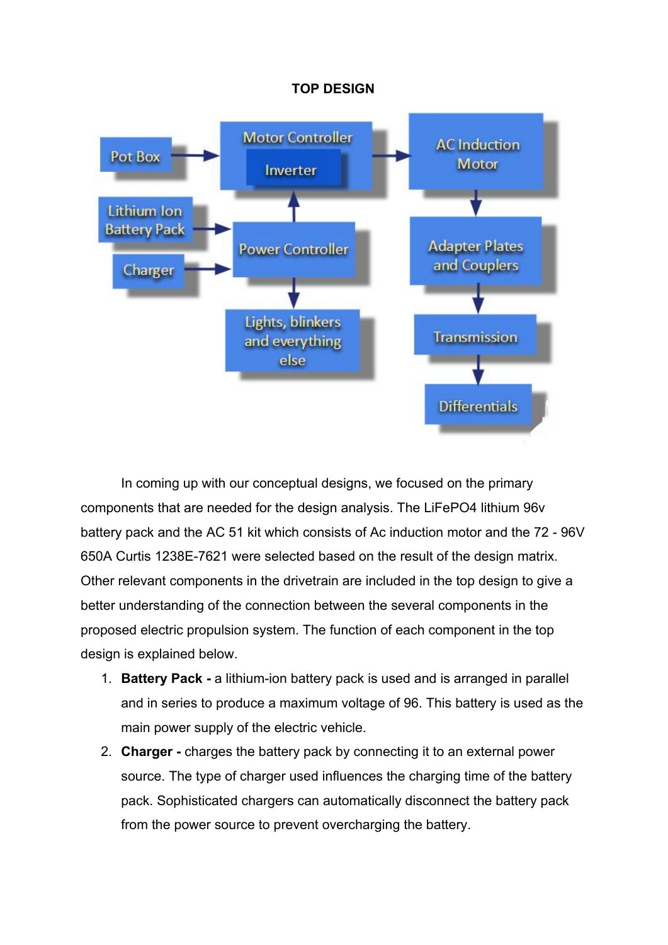#### **TOP DESIGN**



In coming up with our conceptual designs, we focused on the primary components that are needed for the design analysis. The LiFePO4 lithium 96v battery pack and the AC 51 kit which consists of Ac induction motor and the 72 - 96V 650A Curtis 1238E-7621 were selected based on the result of the design matrix. Other relevant components in the drivetrain are included in the top design to give a better understanding of the connection between the several components in the proposed electric propulsion system. The function of each component in the top design is explained below.

- 1. **Battery Pack -** a lithium-ion battery pack is used and is arranged in parallel and in series to produce a maximum voltage of 96. This battery is used as the main power supply of the electric vehicle.
- 2. **Charger -** charges the battery pack by connecting it to an external power source. The type of charger used influences the charging time of the battery pack. Sophisticated chargers can automatically disconnect the battery pack from the power source to prevent overcharging the battery.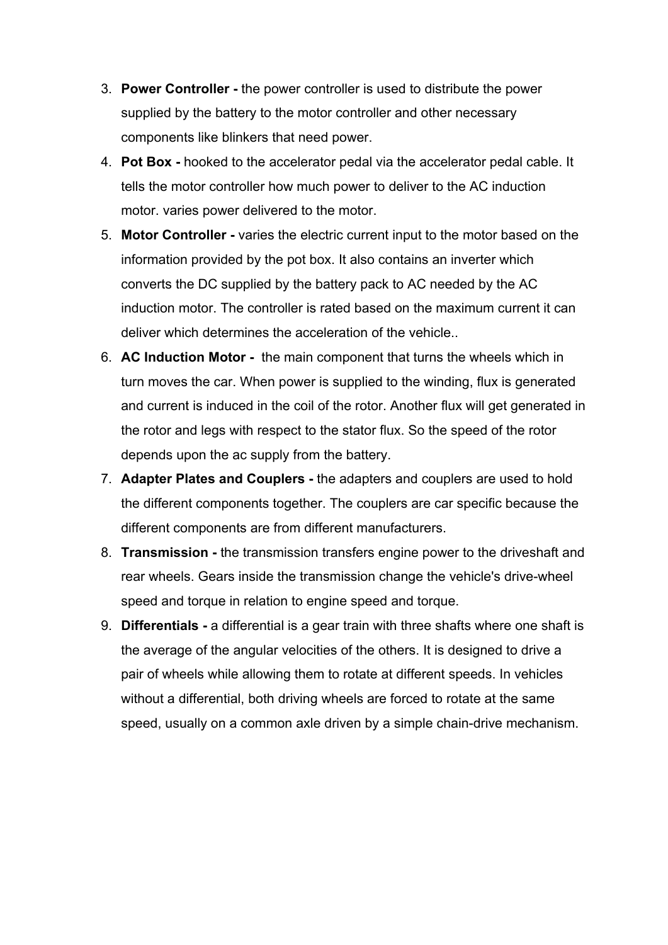- 3. **Power Controller -** the power controller is used to distribute the power supplied by the battery to the motor controller and other necessary components like blinkers that need power.
- 4. **Pot Box -** hooked to the accelerator pedal via the accelerator pedal cable. It tells the motor controller how much power to deliver to the AC induction motor. varies power delivered to the motor.
- 5. **Motor Controller -** varies the electric current input to the motor based on the information provided by the pot box. It also contains an inverter which converts the DC supplied by the battery pack to AC needed by the AC induction motor. The controller is rated based on the maximum current it can deliver which determines the acceleration of the vehicle..
- 6. **AC Induction Motor -** the main component that turns the wheels which in turn moves the car. When power is supplied to the winding, flux is generated and current is induced in the coil of the rotor. Another flux will get generated in the rotor and legs with respect to the stator flux. So the speed of the rotor depends upon the ac supply from the battery.
- 7. **Adapter Plates and Couplers -** the adapters and couplers are used to hold the different components together. The couplers are car specific because the different components are from different manufacturers.
- 8. **Transmission -** the transmission transfers engine power to the driveshaft and rear wheels. Gears inside the transmission change the vehicle's drive-wheel speed and torque in relation to engine speed and torque.
- 9. **Differentials -** a differential is a [gear](https://en.wikipedia.org/wiki/Gear_train) train with three [shafts](https://en.wikipedia.org/wiki/Drive_shaft) where one shaft is the average of the angular velocities of the others. It is designed to drive a pair of wheels while allowing them to rotate at different speeds. In vehicles without a differential, both driving wheels are forced to rotate at the same speed, usually on a common [axle](https://en.wikipedia.org/wiki/Axle) driven by a simple chain-drive mechanism.